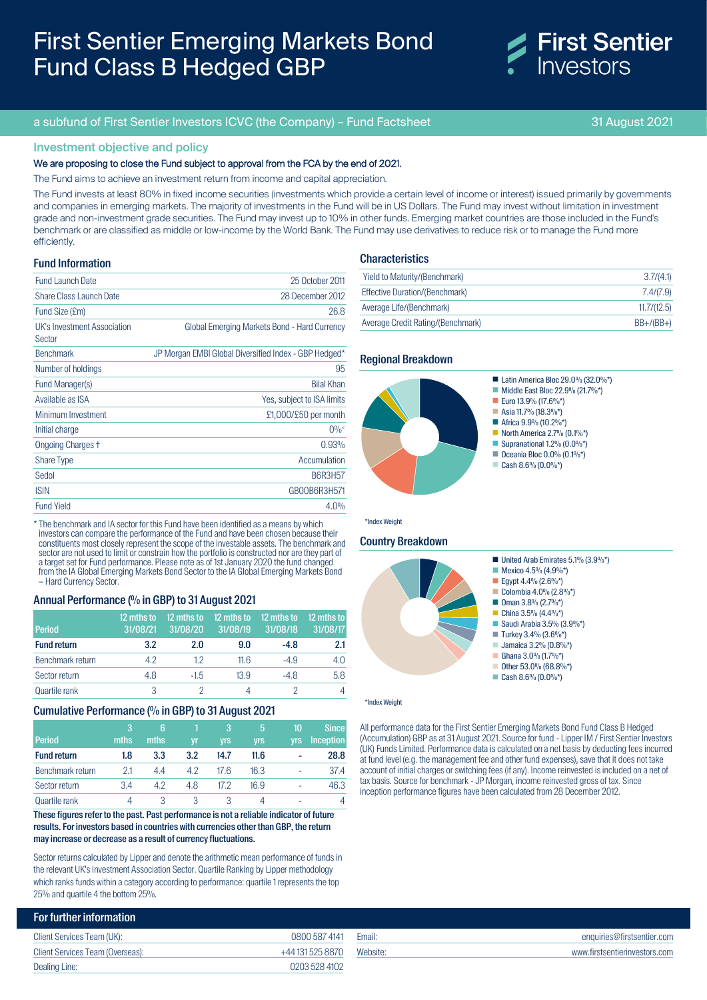# First Sentier Emerging Markets Bond Fund Class B Hedged GBP



### a subfund of First Sentier Investors ICVC (the Company) – Fund Factsheet 31 August 2021

### Investment objective and policy

#### We are proposing to close the Fund subject to approval from the FCA by the end of 2021.

The Fund aims to achieve an investment return from income and capital appreciation.

The Fund invests at least 80% in fixed income securities (investments which provide a certain level of income or interest) issued primarily by governments and companies in emerging markets. The majority of investments in the Fund will be in US Dollars. The Fund may invest without limitation in investment grade and non-investment grade securities. The Fund may invest up to 10% in other funds. Emerging market countries are those included in the Fund's benchmark or are classified as middle or low-income by the World Bank. The Fund may use derivatives to reduce risk or to manage the Fund more efficiently.

#### Fund Information

| <b>Fund Launch Date</b>               | 25 October 2011                                       |
|---------------------------------------|-------------------------------------------------------|
| <b>Share Class Launch Date</b>        | 28 December 2012                                      |
| Fund Size (£m)                        | 26.8                                                  |
| UK's Investment Association<br>Sector | Global Emerging Markets Bond - Hard Currency          |
| <b>Benchmark</b>                      | JP Morgan EMBI Global Diversified Index - GBP Hedged* |
| Number of holdings                    | 95                                                    |
| Fund Manager(s)                       | <b>Bilal Khan</b>                                     |
| Available as ISA                      | Yes, subject to ISA limits                            |
| Minimum Investment                    | £1,000/£50 per month                                  |
| Initial charge                        | $0\%$                                                 |
| <b>Ongoing Charges +</b>              | 0.93%                                                 |
| <b>Share Type</b>                     | Accumulation                                          |
| Sedol                                 | <b>B6R3H57</b>                                        |
| <b>ISIN</b>                           | GB00B6R3H571                                          |
| <b>Fund Yield</b>                     | 4.0%                                                  |

\* The benchmark and IA sector for this Fund have been identified as a means by which investors can compare the performance of the Fund and have been chosen because their constituents most closely represent the scope of the investable assets. The benchmark and sector are not used to limit or constrain how the portfolio is constructed nor are they part of a target set for Fund performance. Please note as of 1st January 2020 the fund changed from the IA Global Emerging Markets Bond Sector to the IA Global Emerging Markets Bond – Hard Currency Sector.

### Annual Performance (% in GBP) to 31 August 2021

| <b>Period</b>      | 12 mths to<br>31/08/21 | 12 mths to<br>31/08/20 | 12 mths to<br>31/08/19 | 12 mths to<br>31/08/18 | 12 mths to<br>31/08/17 |
|--------------------|------------------------|------------------------|------------------------|------------------------|------------------------|
| <b>Fund return</b> | 3.2                    | 2.0                    | 9.0                    | $-4.8$                 | 2.1                    |
| Benchmark return   | 4.2                    | 1.2                    | 11.6                   | $-4.9$                 | 4.0                    |
| Sector return      | 4.8                    | $-1.5$                 | 13.9                   | $-4.8$                 | 5.8                    |
| Quartile rank      | 3                      |                        |                        |                        | 4                      |

#### Cumulative Performance (% in GBP) to 31 August 2021

| Period             | 3<br>mths | 6<br>mths | vr  | 3<br><b>vrs</b> | 5<br><b>yrs</b> | 10<br><b>vrs</b> | <b>Since</b><br><b>Inception</b> |
|--------------------|-----------|-----------|-----|-----------------|-----------------|------------------|----------------------------------|
| <b>Fund return</b> | 1.8       | 3.3       | 3.2 | 14.7            | 11.6            | ۰                | 28.8                             |
| Benchmark return   | 2.1       | 4.4       | 4.2 | 17.6            | 16.3            | ۰                | 37.4                             |
| Sector return      | 3.4       | 4.2       | 4.8 | 17.2            | 16.9            | ۰                | 46.3                             |
| Quartile rank      |           | 3         | 3   | 3               |                 | ۰                |                                  |

These figures refer to the past. Past performance is not a reliable indicator of future results. For investors based in countries with currencies other than GBP, the return may increase or decrease as a result of currency fluctuations.

Sector returns calculated by Lipper and denote the arithmetic mean performance of funds in the relevant UK's Investment Association Sector. Quartile Ranking by Lipper methodology which ranks funds within a category according to performance: quartile 1 represents the top 25% and quartile 4 the bottom 25%.

### **Characteristics**

| Yield to Maturity/(Benchmark)     | 3.7/(4.1)   |
|-----------------------------------|-------------|
| Effective Duration/(Benchmark)    | 7.4/(7.9)   |
| Average Life/(Benchmark)          | 11.7/(12.5) |
| Average Credit Rating/(Benchmark) | $BB+/(BB+)$ |

#### Regional Breakdown



# Country Breakdown



#### \*Index Weight

All performance data for the First Sentier Emerging Markets Bond Fund Class B Hedged (Accumulation) GBP as at 31 August 2021. Source for fund - Lipper IM / First Sentier Investors (UK) Funds Limited. Performance data is calculated on a net basis by deducting fees incurred at fund level (e.g. the management fee and other fund expenses), save that it does not take account of initial charges or switching fees (if any). Income reinvested is included on a net of tax basis. Source for benchmark - JP Morgan, income reinvested gross of tax. Since inception performance figures have been calculated from 28 December 2012.

| <b>For further information</b>   |                  |          |                               |
|----------------------------------|------------------|----------|-------------------------------|
| Client Services Team (UK):       | 0800 587 4141    | Email:   | enquiries@firstsentier.com    |
| Client Services Team (Overseas): | +44 131 525 8870 | Website: | www.firstsentierinvestors.com |
| Dealing Line:                    | 0203 528 4102    |          |                               |